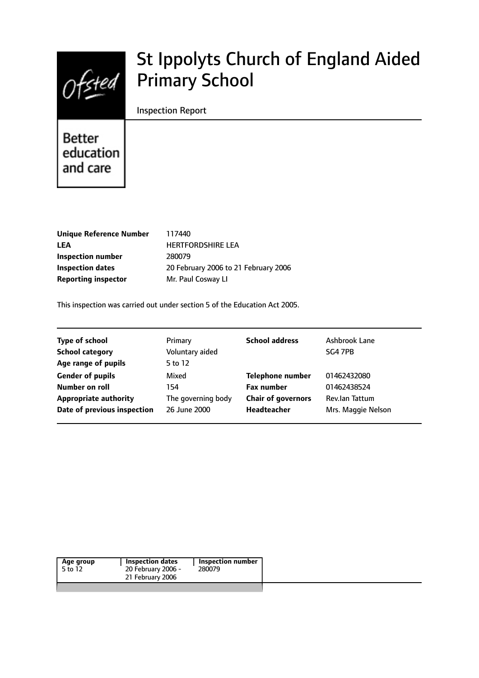$Of$ sted

# St Ippolyts Church of England Aided Primary School

#### Inspection Report

**Better** education and care

| <b>Unique Reference Number</b> |
|--------------------------------|
| <b>LEA</b>                     |
| Inspection number              |
| <b>Inspection dates</b>        |
| <b>Reporting inspector</b>     |

**Unique Reference Number** 117440 **LEA** HERTFORDSHIRE LEA **Inspection number** 280079 **Inspection dates** 20 February 2006 to 21 February 2006 **Mr. Paul Cosway LI** 

This inspection was carried out under section 5 of the Education Act 2005.

| <b>Type of school</b>        | Primary            | <b>School address</b>     | Ashbrook Lane      |
|------------------------------|--------------------|---------------------------|--------------------|
| <b>School category</b>       | Voluntary aided    |                           | SG4 7PB            |
| Age range of pupils          | 5 to 12            |                           |                    |
| <b>Gender of pupils</b>      | Mixed              | <b>Telephone number</b>   | 01462432080        |
| Number on roll               | 154                | <b>Fax number</b>         | 01462438524        |
| <b>Appropriate authority</b> | The governing body | <b>Chair of governors</b> | Rev.lan Tattum     |
| Date of previous inspection  | 26 June 2000       | Headteacher               | Mrs. Maggie Nelson |

| Age group | <b>Inspection dates</b> | Inspection number |
|-----------|-------------------------|-------------------|
| 5 to 12   | 20 February 2006 -      | 280079            |
|           | 21 February 2006        |                   |
|           |                         |                   |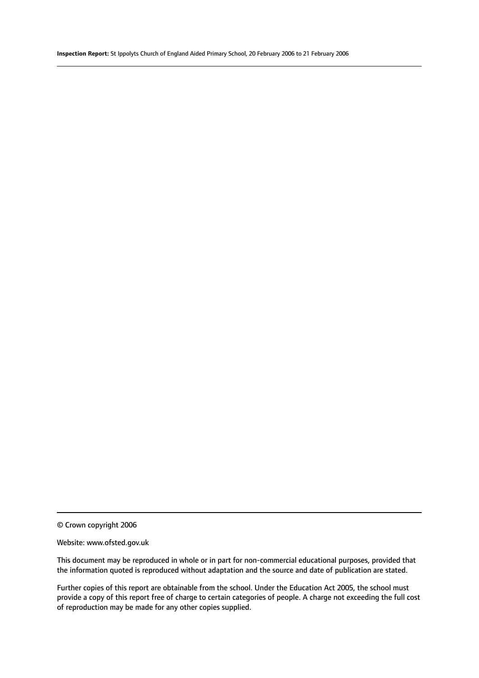© Crown copyright 2006

#### Website: www.ofsted.gov.uk

This document may be reproduced in whole or in part for non-commercial educational purposes, provided that the information quoted is reproduced without adaptation and the source and date of publication are stated.

Further copies of this report are obtainable from the school. Under the Education Act 2005, the school must provide a copy of this report free of charge to certain categories of people. A charge not exceeding the full cost of reproduction may be made for any other copies supplied.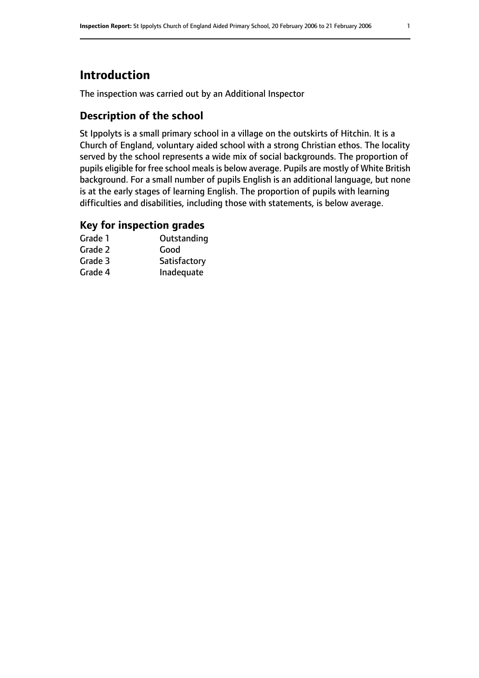## **Introduction**

The inspection was carried out by an Additional Inspector

## **Description of the school**

St Ippolyts is a small primary school in a village on the outskirts of Hitchin. It is a Church of England, voluntary aided school with a strong Christian ethos. The locality served by the school represents a wide mix of social backgrounds. The proportion of pupils eligible for free school meals is below average. Pupils are mostly of White British background. For a small number of pupils English is an additional language, but none is at the early stages of learning English. The proportion of pupils with learning difficulties and disabilities, including those with statements, is below average.

## **Key for inspection grades**

| Grade 1 | Outstanding  |
|---------|--------------|
| Grade 2 | Good         |
| Grade 3 | Satisfactory |
| Grade 4 | Inadequate   |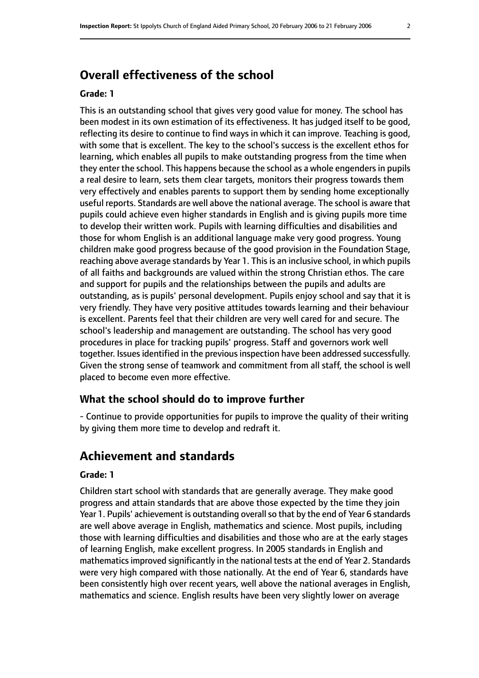## **Overall effectiveness of the school**

#### **Grade: 1**

This is an outstanding school that gives very good value for money. The school has been modest in its own estimation of its effectiveness. It has judged itself to be good, reflecting its desire to continue to find ways in which it can improve. Teaching is good, with some that is excellent. The key to the school's success is the excellent ethos for learning, which enables all pupils to make outstanding progress from the time when they enter the school. This happens because the school as a whole engenders in pupils a real desire to learn, sets them clear targets, monitors their progress towards them very effectively and enables parents to support them by sending home exceptionally useful reports. Standards are well above the national average. The school is aware that pupils could achieve even higher standards in English and is giving pupils more time to develop their written work. Pupils with learning difficulties and disabilities and those for whom English is an additional language make very good progress. Young children make good progress because of the good provision in the Foundation Stage, reaching above average standards by Year 1. This is an inclusive school, in which pupils of all faiths and backgrounds are valued within the strong Christian ethos. The care and support for pupils and the relationships between the pupils and adults are outstanding, as is pupils' personal development. Pupils enjoy school and say that it is very friendly. They have very positive attitudes towards learning and their behaviour is excellent. Parents feel that their children are very well cared for and secure. The school's leadership and management are outstanding. The school has very good procedures in place for tracking pupils' progress. Staff and governors work well together. Issues identified in the previous inspection have been addressed successfully. Given the strong sense of teamwork and commitment from all staff, the school is well placed to become even more effective.

#### **What the school should do to improve further**

- Continue to provide opportunities for pupils to improve the quality of their writing by giving them more time to develop and redraft it.

## **Achievement and standards**

#### **Grade: 1**

Children start school with standards that are generally average. They make good progress and attain standards that are above those expected by the time they join Year 1. Pupils' achievement is outstanding overall so that by the end of Year 6 standards are well above average in English, mathematics and science. Most pupils, including those with learning difficulties and disabilities and those who are at the early stages of learning English, make excellent progress. In 2005 standards in English and mathematicsimproved significantly in the national tests at the end of Year 2. Standards were very high compared with those nationally. At the end of Year 6, standards have been consistently high over recent years, well above the national averages in English, mathematics and science. English results have been very slightly lower on average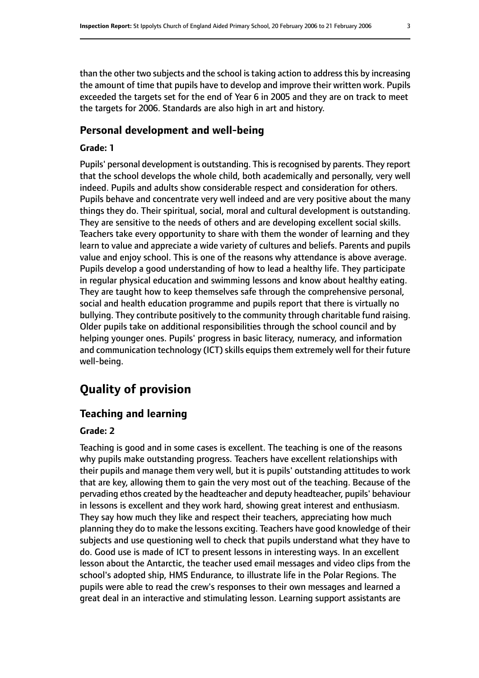than the other two subjects and the school is taking action to address this by increasing the amount of time that pupils have to develop and improve their written work. Pupils exceeded the targets set for the end of Year 6 in 2005 and they are on track to meet the targets for 2006. Standards are also high in art and history.

#### **Personal development and well-being**

#### **Grade: 1**

Pupils' personal development is outstanding. This is recognised by parents. They report that the school develops the whole child, both academically and personally, very well indeed. Pupils and adults show considerable respect and consideration for others. Pupils behave and concentrate very well indeed and are very positive about the many things they do. Their spiritual, social, moral and cultural development is outstanding. They are sensitive to the needs of others and are developing excellent social skills. Teachers take every opportunity to share with them the wonder of learning and they learn to value and appreciate a wide variety of cultures and beliefs. Parents and pupils value and enjoy school. This is one of the reasons why attendance is above average. Pupils develop a good understanding of how to lead a healthy life. They participate in regular physical education and swimming lessons and know about healthy eating. They are taught how to keep themselves safe through the comprehensive personal, social and health education programme and pupils report that there is virtually no bullying. They contribute positively to the community through charitable fund raising. Older pupils take on additional responsibilities through the school council and by helping younger ones. Pupils' progress in basic literacy, numeracy, and information and communication technology (ICT) skills equips them extremely well for their future well-being.

## **Quality of provision**

#### **Teaching and learning**

#### **Grade: 2**

Teaching is good and in some cases is excellent. The teaching is one of the reasons why pupils make outstanding progress. Teachers have excellent relationships with their pupils and manage them very well, but it is pupils' outstanding attitudes to work that are key, allowing them to gain the very most out of the teaching. Because of the pervading ethos created by the headteacher and deputy headteacher, pupils' behaviour in lessons is excellent and they work hard, showing great interest and enthusiasm. They say how much they like and respect their teachers, appreciating how much planning they do to make the lessons exciting. Teachers have good knowledge of their subjects and use questioning well to check that pupils understand what they have to do. Good use is made of ICT to present lessons in interesting ways. In an excellent lesson about the Antarctic, the teacher used email messages and video clips from the school's adopted ship, HMS Endurance, to illustrate life in the Polar Regions. The pupils were able to read the crew's responses to their own messages and learned a great deal in an interactive and stimulating lesson. Learning support assistants are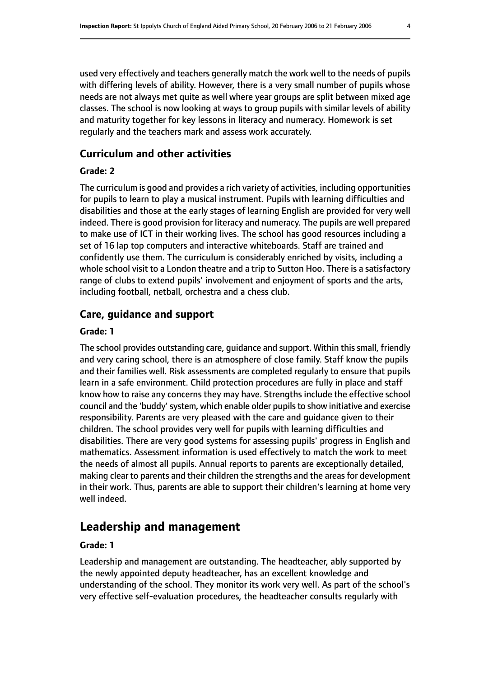used very effectively and teachers generally match the work well to the needs of pupils with differing levels of ability. However, there is a very small number of pupils whose needs are not always met quite as well where year groups are split between mixed age classes. The school is now looking at ways to group pupils with similar levels of ability and maturity together for key lessons in literacy and numeracy. Homework is set regularly and the teachers mark and assess work accurately.

#### **Curriculum and other activities**

#### **Grade: 2**

The curriculum is good and provides a rich variety of activities, including opportunities for pupils to learn to play a musical instrument. Pupils with learning difficulties and disabilities and those at the early stages of learning English are provided for very well indeed. There is good provision for literacy and numeracy. The pupils are well prepared to make use of ICT in their working lives. The school has good resources including a set of 16 lap top computers and interactive whiteboards. Staff are trained and confidently use them. The curriculum is considerably enriched by visits, including a whole school visit to a London theatre and a trip to Sutton Hoo. There is a satisfactory range of clubs to extend pupils' involvement and enjoyment of sports and the arts, including football, netball, orchestra and a chess club.

#### **Care, guidance and support**

#### **Grade: 1**

The school provides outstanding care, guidance and support. Within this small, friendly and very caring school, there is an atmosphere of close family. Staff know the pupils and their families well. Risk assessments are completed regularly to ensure that pupils learn in a safe environment. Child protection procedures are fully in place and staff know how to raise any concerns they may have. Strengths include the effective school council and the 'buddy' system, which enable older pupils to show initiative and exercise responsibility. Parents are very pleased with the care and guidance given to their children. The school provides very well for pupils with learning difficulties and disabilities. There are very good systems for assessing pupils' progress in English and mathematics. Assessment information is used effectively to match the work to meet the needs of almost all pupils. Annual reports to parents are exceptionally detailed, making clear to parents and their children the strengths and the areas for development in their work. Thus, parents are able to support their children's learning at home very well indeed.

## **Leadership and management**

#### **Grade: 1**

Leadership and management are outstanding. The headteacher, ably supported by the newly appointed deputy headteacher, has an excellent knowledge and understanding of the school. They monitor its work very well. As part of the school's very effective self-evaluation procedures, the headteacher consults regularly with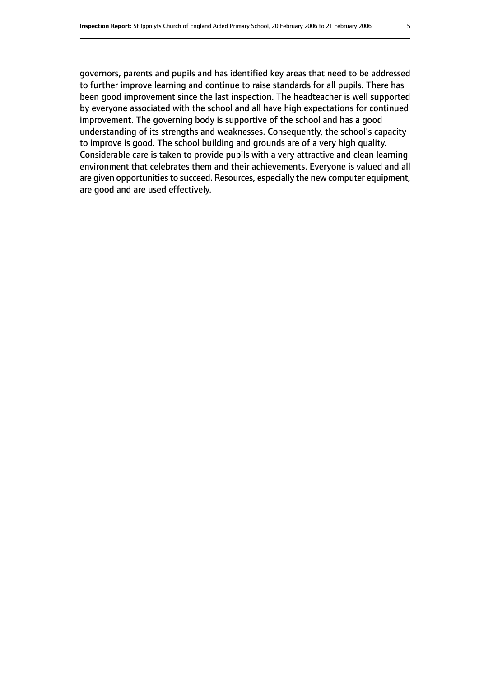governors, parents and pupils and has identified key areas that need to be addressed to further improve learning and continue to raise standards for all pupils. There has been good improvement since the last inspection. The headteacher is well supported by everyone associated with the school and all have high expectations for continued improvement. The governing body is supportive of the school and has a good understanding of its strengths and weaknesses. Consequently, the school's capacity to improve is good. The school building and grounds are of a very high quality. Considerable care is taken to provide pupils with a very attractive and clean learning environment that celebrates them and their achievements. Everyone is valued and all are given opportunities to succeed. Resources, especially the new computer equipment, are good and are used effectively.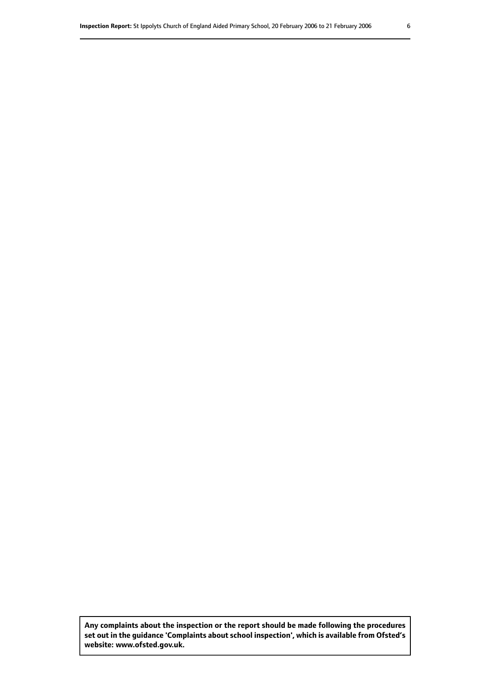**Any complaints about the inspection or the report should be made following the procedures set out inthe guidance 'Complaints about school inspection', whichis available from Ofsted's website: www.ofsted.gov.uk.**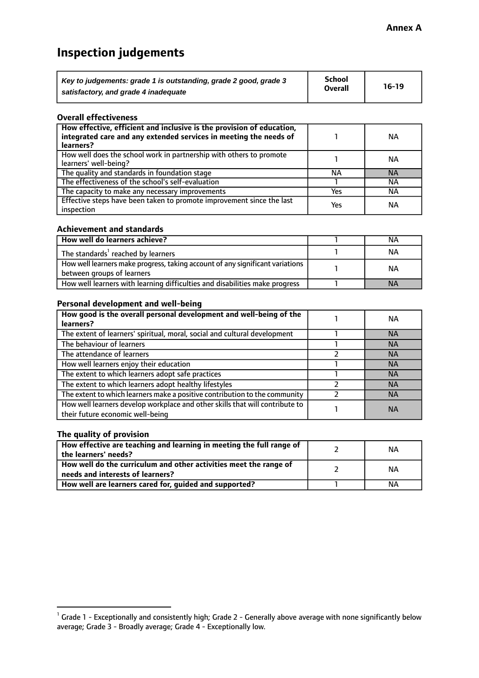## **Inspection judgements**

| Key to judgements: grade 1 is outstanding, grade 2 good, grade 3 | School         | $16-19$ |
|------------------------------------------------------------------|----------------|---------|
| satisfactory, and grade 4 inadequate                             | <b>Overall</b> |         |

#### **Overall effectiveness**

| How effective, efficient and inclusive is the provision of education,<br>integrated care and any extended services in meeting the needs of<br>learners? |            | ΝA        |
|---------------------------------------------------------------------------------------------------------------------------------------------------------|------------|-----------|
| How well does the school work in partnership with others to promote<br>learners' well-being?                                                            |            | ΝA        |
| The quality and standards in foundation stage                                                                                                           | ΝA         | <b>NA</b> |
| The effectiveness of the school's self-evaluation                                                                                                       |            | NА        |
| The capacity to make any necessary improvements                                                                                                         | <b>Yes</b> | NА        |
| Effective steps have been taken to promote improvement since the last<br>inspection                                                                     | Yes        | ΝA        |

#### **Achievement and standards**

| How well do learners achieve?                                                                               | NА        |
|-------------------------------------------------------------------------------------------------------------|-----------|
| The standards <sup>1</sup> reached by learners                                                              | ΝA        |
| How well learners make progress, taking account of any significant variations<br>between groups of learners | <b>NA</b> |
| How well learners with learning difficulties and disabilities make progress                                 | <b>NA</b> |

#### **Personal development and well-being**

| How good is the overall personal development and well-being of the<br>learners?                                  | ΝA        |
|------------------------------------------------------------------------------------------------------------------|-----------|
| The extent of learners' spiritual, moral, social and cultural development                                        | <b>NA</b> |
| The behaviour of learners                                                                                        | <b>NA</b> |
| The attendance of learners                                                                                       | <b>NA</b> |
| How well learners enjoy their education                                                                          | <b>NA</b> |
| The extent to which learners adopt safe practices                                                                | <b>NA</b> |
| The extent to which learners adopt healthy lifestyles                                                            | <b>NA</b> |
| The extent to which learners make a positive contribution to the community                                       | <b>NA</b> |
| How well learners develop workplace and other skills that will contribute to<br>their future economic well-being | <b>NA</b> |

#### **The quality of provision**

| How effective are teaching and learning in meeting the full range of<br>the learners' needs?          | ΝA |
|-------------------------------------------------------------------------------------------------------|----|
| How well do the curriculum and other activities meet the range of<br>needs and interests of learners? | ΝA |
| How well are learners cared for, guided and supported?                                                | NА |

 $^1$  Grade 1 - Exceptionally and consistently high; Grade 2 - Generally above average with none significantly below average; Grade 3 - Broadly average; Grade 4 - Exceptionally low.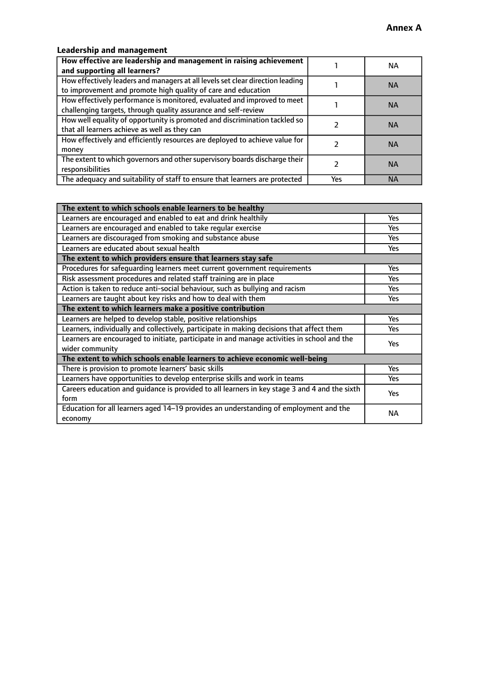## **Leadership and management**

| How effective are leadership and management in raising achievement<br>and supporting all learners?                                              |     | NA.       |
|-------------------------------------------------------------------------------------------------------------------------------------------------|-----|-----------|
| How effectively leaders and managers at all levels set clear direction leading<br>to improvement and promote high quality of care and education |     | <b>NA</b> |
| How effectively performance is monitored, evaluated and improved to meet<br>challenging targets, through quality assurance and self-review      |     | <b>NA</b> |
| How well equality of opportunity is promoted and discrimination tackled so<br>that all learners achieve as well as they can                     |     | <b>NA</b> |
| How effectively and efficiently resources are deployed to achieve value for<br>money                                                            |     | <b>NA</b> |
| The extent to which governors and other supervisory boards discharge their<br>responsibilities                                                  |     | <b>NA</b> |
| The adequacy and suitability of staff to ensure that learners are protected                                                                     | Yes | <b>NA</b> |

| The extent to which schools enable learners to be healthy                                                      |            |  |
|----------------------------------------------------------------------------------------------------------------|------------|--|
| Learners are encouraged and enabled to eat and drink healthily                                                 | Yes        |  |
| Learners are encouraged and enabled to take regular exercise                                                   | Yes        |  |
| Learners are discouraged from smoking and substance abuse                                                      | <b>Yes</b> |  |
| Learners are educated about sexual health                                                                      | <b>Yes</b> |  |
| The extent to which providers ensure that learners stay safe                                                   |            |  |
| Procedures for safequarding learners meet current government requirements                                      | Yes        |  |
| Risk assessment procedures and related staff training are in place                                             | Yes        |  |
| Action is taken to reduce anti-social behaviour, such as bullying and racism                                   | <b>Yes</b> |  |
| Learners are taught about key risks and how to deal with them                                                  | Yes        |  |
| The extent to which learners make a positive contribution                                                      |            |  |
| Learners are helped to develop stable, positive relationships                                                  | Yes        |  |
| Learners, individually and collectively, participate in making decisions that affect them                      | Yes        |  |
| Learners are encouraged to initiate, participate in and manage activities in school and the<br>wider community | <b>Yes</b> |  |
| The extent to which schools enable learners to achieve economic well-being                                     |            |  |
| There is provision to promote learners' basic skills                                                           | Yes        |  |
| Learners have opportunities to develop enterprise skills and work in teams                                     | Yes        |  |
| Careers education and quidance is provided to all learners in key stage 3 and 4 and the sixth<br>form          | <b>Yes</b> |  |
| Education for all learners aged 14-19 provides an understanding of employment and the<br>economy               | <b>NA</b>  |  |